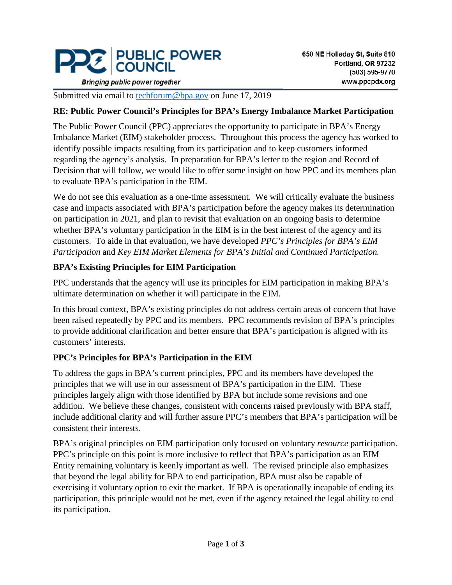

**Bringing public power together** 

Submitted via email to [techforum@bpa.gov](mailto:techforum@bpa.gov) on June 17, 2019

#### **RE: Public Power Council's Principles for BPA's Energy Imbalance Market Participation**

The Public Power Council (PPC) appreciates the opportunity to participate in BPA's Energy Imbalance Market (EIM) stakeholder process. Throughout this process the agency has worked to identify possible impacts resulting from its participation and to keep customers informed regarding the agency's analysis. In preparation for BPA's letter to the region and Record of Decision that will follow, we would like to offer some insight on how PPC and its members plan to evaluate BPA's participation in the EIM.

We do not see this evaluation as a one-time assessment. We will critically evaluate the business case and impacts associated with BPA's participation before the agency makes its determination on participation in 2021, and plan to revisit that evaluation on an ongoing basis to determine whether BPA's voluntary participation in the EIM is in the best interest of the agency and its customers. To aide in that evaluation, we have developed *PPC's Principles for BPA's EIM Participation* and *Key EIM Market Elements for BPA's Initial and Continued Participation.*

### **BPA's Existing Principles for EIM Participation**

PPC understands that the agency will use its principles for EIM participation in making BPA's ultimate determination on whether it will participate in the EIM.

In this broad context, BPA's existing principles do not address certain areas of concern that have been raised repeatedly by PPC and its members. PPC recommends revision of BPA's principles to provide additional clarification and better ensure that BPA's participation is aligned with its customers' interests.

### **PPC's Principles for BPA's Participation in the EIM**

To address the gaps in BPA's current principles, PPC and its members have developed the principles that we will use in our assessment of BPA's participation in the EIM. These principles largely align with those identified by BPA but include some revisions and one addition. We believe these changes, consistent with concerns raised previously with BPA staff, include additional clarity and will further assure PPC's members that BPA's participation will be consistent their interests.

BPA's original principles on EIM participation only focused on voluntary *resource* participation. PPC's principle on this point is more inclusive to reflect that BPA's participation as an EIM Entity remaining voluntary is keenly important as well. The revised principle also emphasizes that beyond the legal ability for BPA to end participation, BPA must also be capable of exercising it voluntary option to exit the market. If BPA is operationally incapable of ending its participation, this principle would not be met, even if the agency retained the legal ability to end its participation.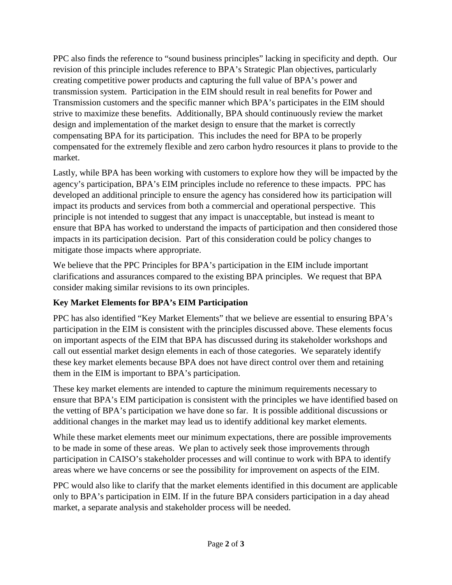PPC also finds the reference to "sound business principles" lacking in specificity and depth. Our revision of this principle includes reference to BPA's Strategic Plan objectives, particularly creating competitive power products and capturing the full value of BPA's power and transmission system. Participation in the EIM should result in real benefits for Power and Transmission customers and the specific manner which BPA's participates in the EIM should strive to maximize these benefits. Additionally, BPA should continuously review the market design and implementation of the market design to ensure that the market is correctly compensating BPA for its participation. This includes the need for BPA to be properly compensated for the extremely flexible and zero carbon hydro resources it plans to provide to the market.

Lastly, while BPA has been working with customers to explore how they will be impacted by the agency's participation, BPA's EIM principles include no reference to these impacts. PPC has developed an additional principle to ensure the agency has considered how its participation will impact its products and services from both a commercial and operational perspective. This principle is not intended to suggest that any impact is unacceptable, but instead is meant to ensure that BPA has worked to understand the impacts of participation and then considered those impacts in its participation decision. Part of this consideration could be policy changes to mitigate those impacts where appropriate.

We believe that the PPC Principles for BPA's participation in the EIM include important clarifications and assurances compared to the existing BPA principles. We request that BPA consider making similar revisions to its own principles.

# **Key Market Elements for BPA's EIM Participation**

PPC has also identified "Key Market Elements" that we believe are essential to ensuring BPA's participation in the EIM is consistent with the principles discussed above. These elements focus on important aspects of the EIM that BPA has discussed during its stakeholder workshops and call out essential market design elements in each of those categories. We separately identify these key market elements because BPA does not have direct control over them and retaining them in the EIM is important to BPA's participation.

These key market elements are intended to capture the minimum requirements necessary to ensure that BPA's EIM participation is consistent with the principles we have identified based on the vetting of BPA's participation we have done so far. It is possible additional discussions or additional changes in the market may lead us to identify additional key market elements.

While these market elements meet our minimum expectations, there are possible improvements to be made in some of these areas. We plan to actively seek those improvements through participation in CAISO's stakeholder processes and will continue to work with BPA to identify areas where we have concerns or see the possibility for improvement on aspects of the EIM.

PPC would also like to clarify that the market elements identified in this document are applicable only to BPA's participation in EIM. If in the future BPA considers participation in a day ahead market, a separate analysis and stakeholder process will be needed.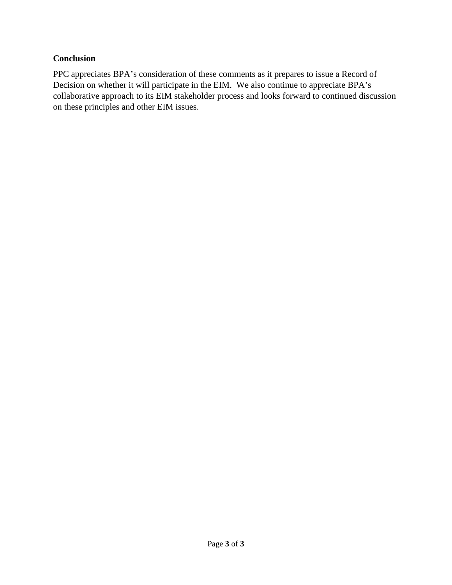### **Conclusion**

PPC appreciates BPA's consideration of these comments as it prepares to issue a Record of Decision on whether it will participate in the EIM. We also continue to appreciate BPA's collaborative approach to its EIM stakeholder process and looks forward to continued discussion on these principles and other EIM issues.